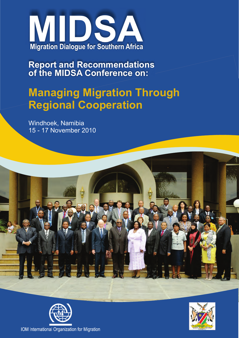

**Report and Recommendations of the MIDSA Conference on:**

# **Managing Migration Through Regional Cooperation**

Windhoek, Namibia 15 - 17 November 2010





IOM International Organization for Migration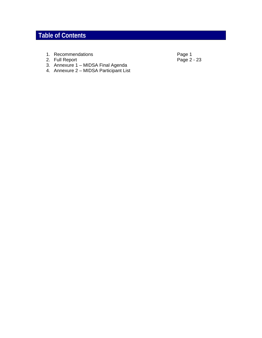# **Table of Contents**

- 
- 2. Full Report
- 3. Annexure 1 MIDSA Final Agenda
- 4. Annexure 2 MIDSA Participant List
- 1. Recommendations **Page 1**<br>
2. Full Report **Page 2** 23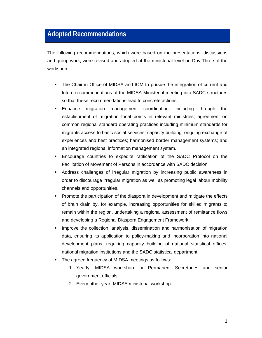# **Adopted Recommendations**

The following recommendations, which were based on the presentations, discussions and group work, were revised and adopted at the ministerial level on Day Three of the workshop.

- The Chair in Office of MIDSA and IOM to pursue the integration of current and future recommendations of the MIDSA Ministerial meeting into SADC structures so that these recommendations lead to concrete actions.
- Enhance migration management coordination, including through the establishment of migration focal points in relevant ministries; agreement on common regional standard operating practices including minimum standards for migrants access to basic social services; capacity building; ongoing exchange of experiences and best practices; harmonised border management systems; and an integrated regional information management system.
- Encourage countries to expedite ratification of the SADC Protocol on the Facilitation of Movement of Persons in accordance with SADC decision.
- Address challenges of irregular migration by increasing public awareness in order to discourage irregular migration as well as promoting legal labour mobility channels and opportunities.
- Promote the participation of the diaspora in development and mitigate the effects of brain drain by, for example, increasing opportunities for skilled migrants to remain within the region, undertaking a regional assessment of remittance flows and developing a Regional Diaspora Engagement Framework.
- Improve the collection, analysis, dissemination and harmonisation of migration data, ensuring its application to policy-making and incorporation into national development plans, requiring capacity building of national statistical offices, national migration institutions and the SADC statistical department.
- The agreed frequency of MIDSA meetings as follows:
	- 1. Yearly: MIDSA workshop for Permanent Secretaries and senior government officials
	- 2. Every other year: MIDSA ministerial workshop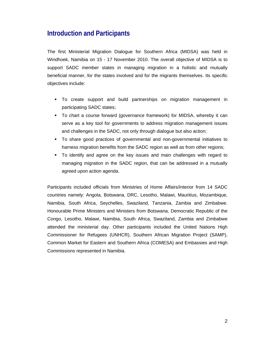# **Introduction and Participants**

The first Ministerial Migration Dialogue for Southern Africa (MIDSA) was held in Windhoek, Namibia on 15 - 17 November 2010. The overall objective of MIDSA is to support SADC member states in managing migration in a holistic and mutually beneficial manner, for the states involved and for the migrants themselves. Its specific objectives include:

- To create support and build partnerships on migration management in participating SADC states;
- To chart a course forward (governance framework) for MIDSA, whereby it can serve as a key tool for governments to address migration management issues and challenges in the SADC, not only through dialogue but also action;
- To share good practices of governmental and non-governmental initiatives to harness migration benefits from the SADC region as well as from other regions;
- To identify and agree on the key issues and main challenges with regard to managing migration in the SADC region, that can be addressed in a mutually agreed upon action agenda.

Participants included officials from Ministries of Home Affairs/Interior from 14 SADC countries namely: Angola, Botswana, DRC, Lesotho, Malawi, Mauritius, Mozambique, Namibia, South Africa, Seychelles, Swaziland, Tanzania, Zambia and Zimbabwe. Honourable Prime Ministers and Ministers from Botswana, Democratic Republic of the Congo, Lesotho, Malawi, Namibia, South Africa, Swaziland, Zambia and Zimbabwe attended the ministerial day. Other participants included the United Nations High Commissioner for Refugees (UNHCR), Southern African Migration Project (SAMP), Common Market for Eastern and Southern Africa (COMESA) and Embassies and High Commissions represented in Namibia.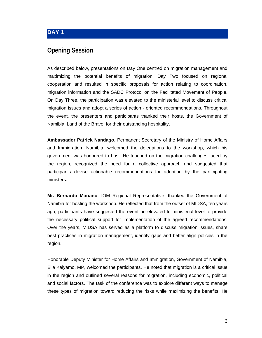#### **DAY 1**

#### **Opening Session**

As described below, presentations on Day One centred on migration management and maximizing the potential benefits of migration. Day Two focused on regional cooperation and resulted in specific proposals for action relating to coordination, migration information and the SADC Protocol on the Facilitated Movement of People. On Day Three, the participation was elevated to the ministerial level to discuss critical migration issues and adopt a series of action - oriented recommendations. Throughout the event, the presenters and participants thanked their hosts, the Government of Namibia, Land of the Brave, for their outstanding hospitality.

**Ambassador Patrick Nandago,** Permanent Secretary of the Ministry of Home Affairs and Immigration, Namibia, welcomed the delegations to the workshop, which his government was honoured to host. He touched on the migration challenges faced by the region, recognized the need for a collective approach and suggested that participants devise actionable recommendations for adoption by the participating ministers.

**Mr. Bernardo Mariano**, IOM Regional Representative, thanked the Government of Namibia for hosting the workshop. He reflected that from the outset of MIDSA, ten years ago, participants have suggested the event be elevated to ministerial level to provide the necessary political support for implementation of the agreed recommendations. Over the years, MIDSA has served as a platform to discuss migration issues, share best practices in migration management, identify gaps and better align policies in the region.

Honorable Deputy Minister for Home Affairs and Immigration, Government of Namibia, Elia Kaiyamo, MP, welcomed the participants. He noted that migration is a critical issue in the region and outlined several reasons for migration, including economic, political and social factors. The task of the conference was to explore different ways to manage these types of migration toward reducing the risks while maximizing the benefits. He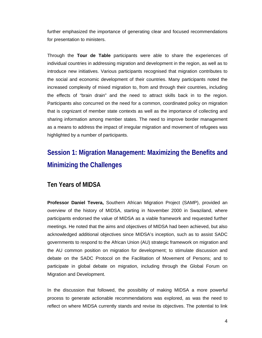further emphasized the importance of generating clear and focused recommendations for presentation to ministers.

Through the **Tour de Table** participants were able to share the experiences of individual countries in addressing migration and development in the region, as well as to introduce new initiatives. Various participants recognised that migration contributes to the social and economic development of their countries. Many participants noted the increased complexity of mixed migration to, from and through their countries, including the effects of "brain drain" and the need to attract skills back in to the region. Participants also concurred on the need for a common, coordinated policy on migration that is cognizant of member state contexts as well as the importance of collecting and sharing information among member states. The need to improve border management as a means to address the impact of irregular migration and movement of refugees was highlighted by a number of participants.

# **Session 1: Migration Management: Maximizing the Benefits and Minimizing the Challenges**

#### **Ten Years of MIDSA**

**Professor Daniel Tevera,** Southern African Migration Project (SAMP), provided an overview of the history of MIDSA, starting in November 2000 in Swaziland, where participants endorsed the value of MIDSA as a viable framework and requested further meetings. He noted that the aims and objectives of MIDSA had been achieved, but also acknowledged additional objectives since MIDSA's inception, such as to assist SADC governments to respond to the African Union (AU) strategic framework on migration and the AU common position on migration for development; to stimulate discussion and debate on the SADC Protocol on the Facilitation of Movement of Persons; and to participate in global debate on migration, including through the Global Forum on Migration and Development.

In the discussion that followed, the possibility of making MIDSA a more powerful process to generate actionable recommendations was explored, as was the need to reflect on where MIDSA currently stands and revise its objectives. The potential to link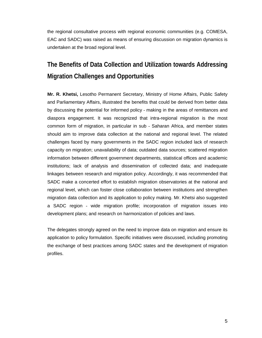the regional consultative process with regional economic communities (e.g. COMESA, EAC and SADC) was raised as means of ensuring discussion on migration dynamics is undertaken at the broad regional level.

# **The Benefits of Data Collection and Utilization towards Addressing Migration Challenges and Opportunities**

**Mr. R. Khetsi,** Lesotho Permanent Secretary, Ministry of Home Affairs, Public Safety and Parliamentary Affairs, illustrated the benefits that could be derived from better data by discussing the potential for informed policy - making in the areas of remittances and diaspora engagement. It was recognized that intra-regional migration is the most common form of migration, in particular in sub - Saharan Africa, and member states should aim to improve data collection at the national and regional level. The related challenges faced by many governments in the SADC region included lack of research capacity on migration; unavailability of data; outdated data sources; scattered migration information between different government departments, statistical offices and academic institutions; lack of analysis and dissemination of collected data; and inadequate linkages between research and migration policy. Accordingly, it was recommended that SADC make a concerted effort to establish migration observatories at the national and regional level, which can foster close collaboration between institutions and strengthen migration data collection and its application to policy making. Mr. Khetsi also suggested a SADC region - wide migration profile; incorporation of migration issues into development plans; and research on harmonization of policies and laws.

The delegates strongly agreed on the need to improve data on migration and ensure its application to policy formulation. Specific initiatives were discussed, including promoting the exchange of best practices among SADC states and the development of migration profiles.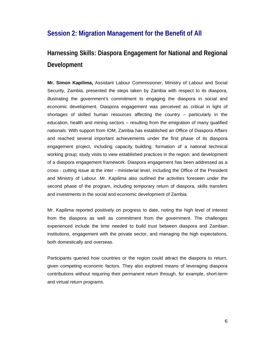### **Session 2: Migration Management for the Benefit of All**

# **Harnessing Skills: Diaspora Engagement for National and Regional Development**

**Mr. Simon Kapilima,** Assistant Labour Commissioner, Ministry of Labour and Social Security, Zambia, presented the steps taken by Zambia with respect to its diaspora, illustrating the government's commitment to engaging the diaspora in social and economic development. Diaspora engagement was perceived as critical in light of shortages of skilled human resources affecting the country – particularly in the education, health and mining sectors – resulting from the emigration of many qualified nationals. With support from IOM, Zambia has established an Office of Diaspora Affairs and reached several important achievements under the first phase of its diaspora engagement project, including capacity building; formation of a national technical working group; study visits to view established practices in the region; and development of a diaspora engagement framework. Diaspora engagement has been addressed as a cross - cutting issue at the inter - ministerial level, including the Office of the President and Ministry of Labour. Mr. Kapilima also outlined the activities foreseen under the second phase of the program, including temporary return of diaspora, skills transfers and investments in the social and economic development of Zambia.

Mr. Kapilima reported positively on progress to date, noting the high level of interest from the diaspora as well as commitment from the government. The challenges experienced include the time needed to build trust between diaspora and Zambian institutions, engagement with the private sector, and managing the high expectations, both domestically and overseas.

Participants queried how countries or the region could attract the diaspora to return, given competing economic factors. They also explored means of leveraging diaspora contributions without requiring their permanent return through, for example, short-term and virtual return programs.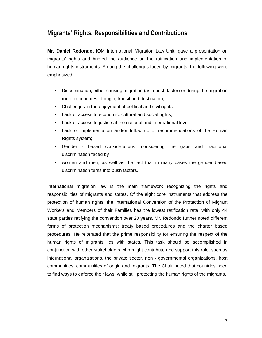### **Migrants' Rights, Responsibilities and Contributions**

**Mr. Daniel Redondo,** IOM International Migration Law Unit, gave a presentation on migrants' rights and briefed the audience on the ratification and implementation of human rights instruments. Among the challenges faced by migrants, the following were emphasized:

- Discrimination, either causing migration (as a push factor) or during the migration route in countries of origin, transit and destination;
- Challenges in the enjoyment of political and civil rights;
- **Lack of access to economic, cultural and social rights;**
- **Lack of access to justice at the national and international level;**
- Lack of implementation and/or follow up of recommendations of the Human Rights system;
- Gender based considerations: considering the gaps and traditional discrimination faced by
- women and men, as well as the fact that in many cases the gender based discrimination turns into push factors.

International migration law is the main framework recognizing the rights and responsibilities of migrants and states. Of the eight core instruments that address the protection of human rights, the International Convention of the Protection of Migrant Workers and Members of their Families has the lowest ratification rate, with only 44 state parties ratifying the convention over 20 years. Mr. Redondo further noted different forms of protection mechanisms: treaty based procedures and the charter based procedures. He reiterated that the prime responsibility for ensuring the respect of the human rights of migrants lies with states. This task should be accomplished in conjunction with other stakeholders who might contribute and support this role, such as international organizations, the private sector, non - governmental organizations, host communities, communities of origin and migrants. The Chair noted that countries need to find ways to enforce their laws, while still protecting the human rights of the migrants.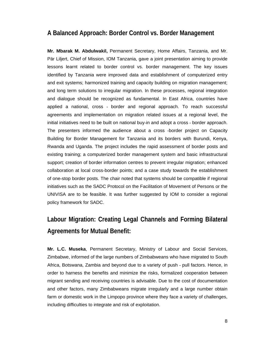### **A Balanced Approach: Border Control vs. Border Management**

**Mr. Mbarak M. Abdulwakil,** Permanent Secretary, Home Affairs, Tanzania, and Mr. Pär Liljert, Chief of Mission, IOM Tanzania, gave a joint presentation aiming to provide lessons learnt related to border control vs. border management. The key issues identified by Tanzania were improved data and establishment of computerized entry and exit systems; harmonized training and capacity building on migration management; and long term solutions to irregular migration. In these processes, regional integration and dialogue should be recognized as fundamental. In East Africa, countries have applied a national, cross - border and regional approach. To reach successful agreements and implementation on migration related issues at a regional level, the initial initiatives need to be built on national buy-in and adopt a cross - border approach. The presenters informed the audience about a cross -border project on Capacity Building for Border Management for Tanzania and its borders with Burundi, Kenya, Rwanda and Uganda. The project includes the rapid assessment of border posts and existing training; a computerized border management system and basic infrastructural support; creation of border information centres to prevent irregular migration; enhanced collaboration at local cross-border points; and a case study towards the establishment of one-stop border posts. The chair noted that systems should be compatible if regional initiatives such as the SADC Protocol on the Facilitation of Movement of Persons or the UNIVISA are to be feasible. It was further suggested by IOM to consider a regional policy framework for SADC.

# **Labour Migration: Creating Legal Channels and Forming Bilateral Agreements for Mutual Benefit:**

**Mr. L.C. Museka**, Permanent Secretary, Ministry of Labour and Social Services, Zimbabwe, informed of the large numbers of Zimbabweans who have migrated to South Africa, Botswana, Zambia and beyond due to a variety of push - pull factors. Hence, in order to harness the benefits and minimize the risks, formalized cooperation between migrant sending and receiving countries is advisable. Due to the cost of documentation and other factors, many Zimbabweans migrate irregularly and a large number obtain farm or domestic work in the Limpopo province where they face a variety of challenges, including difficulties to integrate and risk of exploitation.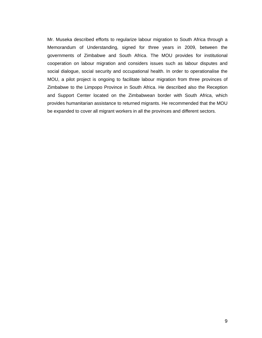Mr. Museka described efforts to regularize labour migration to South Africa through a Memorandum of Understanding, signed for three years in 2009, between the governments of Zimbabwe and South Africa. The MOU provides for institutional cooperation on labour migration and considers issues such as labour disputes and social dialogue, social security and occupational health. In order to operationalise the MOU, a pilot project is ongoing to facilitate labour migration from three provinces of Zimbabwe to the Limpopo Province in South Africa. He described also the Reception and Support Center located on the Zimbabwean border with South Africa, which provides humanitarian assistance to returned migrants. He recommended that the MOU be expanded to cover all migrant workers in all the provinces and different sectors.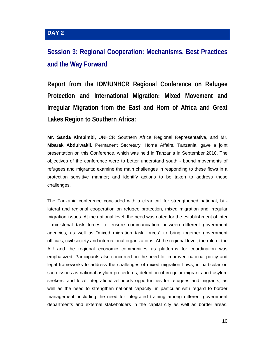### **DAY 2**

# **Session 3: Regional Cooperation: Mechanisms, Best Practices and the Way Forward**

**Report from the IOM/UNHCR Regional Conference on Refugee Protection and International Migration: Mixed Movement and Irregular Migration from the East and Horn of Africa and Great Lakes Region to Southern Africa:** 

**Mr. Sanda Kimbimbi,** UNHCR Southern Africa Regional Representative, and **Mr. Mbarak Abdulwakil**, Permanent Secretary, Home Affairs, Tanzania, gave a joint presentation on this Conference, which was held in Tanzania in September 2010. The objectives of the conference were to better understand south - bound movements of refugees and migrants; examine the main challenges in responding to these flows in a protection sensitive manner; and identify actions to be taken to address these challenges.

The Tanzania conference concluded with a clear call for strengthened national, bi lateral and regional cooperation on refugee protection, mixed migration and irregular migration issues. At the national level, the need was noted for the establishment of inter - ministerial task forces to ensure communication between different government agencies, as well as "mixed migration task forces" to bring together government officials, civil society and international organizations. At the regional level, the role of the AU and the regional economic communities as platforms for coordination was emphasized. Participants also concurred on the need for improved national policy and legal frameworks to address the challenges of mixed migration flows, in particular on such issues as national asylum procedures, detention of irregular migrants and asylum seekers, and local integration/livelihoods opportunities for refugees and migrants; as well as the need to strengthen national capacity, in particular with regard to border management, including the need for integrated training among different government departments and external stakeholders in the capital city as well as border areas.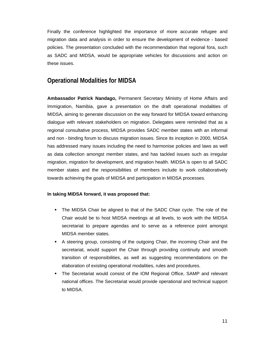Finally the conference highlighted the importance of more accurate refugee and migration data and analysis in order to ensure the development of evidence - based policies. The presentation concluded with the recommendation that regional fora, such as SADC and MIDSA, would be appropriate vehicles for discussions and action on these issues.

### **Operational Modalities for MIDSA**

**Ambassador Patrick Nandago,** Permanent Secretary Ministry of Home Affairs and Immigration, Namibia, gave a presentation on the draft operational modalities of MIDSA, aiming to generate discussion on the way forward for MIDSA toward enhancing dialogue with relevant stakeholders on migration. Delegates were reminded that as a regional consultative process, MIDSA provides SADC member states with an informal and non - binding forum to discuss migration issues. Since its inception in 2000, MIDSA has addressed many issues including the need to harmonise policies and laws as well as data collection amongst member states, and has tackled issues such as irregular migration, migration for development, and migration health. MIDSA is open to all SADC member states and the responsibilities of members include to work collaboratively towards achieving the goals of MIDSA and participation in MIDSA processes.

#### **In taking MIDSA forward, it was proposed that:**

- The MIDSA Chair be aligned to that of the SADC Chair cycle. The role of the Chair would be to host MIDSA meetings at all levels, to work with the MIDSA secretariat to prepare agendas and to serve as a reference point amongst MIDSA member states.
- A steering group, consisting of the outgoing Chair, the incoming Chair and the secretariat, would support the Chair through providing continuity and smooth transition of responsibilities, as well as suggesting recommendations on the elaboration of existing operational modalities, rules and procedures.
- The Secretariat would consist of the IOM Regional Office, SAMP and relevant national offices. The Secretariat would provide operational and technical support to MIDSA.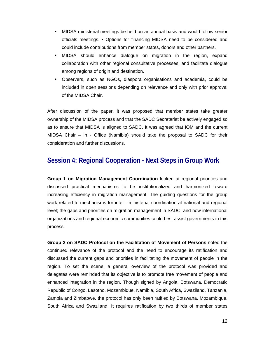- MIDSA ministerial meetings be held on an annual basis and would follow senior officials meetings. • Options for financing MIDSA need to be considered and could include contributions from member states, donors and other partners.
- MIDSA should enhance dialogue on migration in the region, expand collaboration with other regional consultative processes, and facilitate dialogue among regions of origin and destination.
- Observers, such as NGOs, diaspora organisations and academia, could be included in open sessions depending on relevance and only with prior approval of the MIDSA Chair.

After discussion of the paper, it was proposed that member states take greater ownership of the MIDSA process and that the SADC Secretariat be actively engaged so as to ensure that MIDSA is aligned to SADC. It was agreed that IOM and the current MIDSA Chair – in - Office (Namibia) should take the proposal to SADC for their consideration and further discussions.

# **Session 4: Regional Cooperation - Next Steps in Group Work**

**Group 1 on Migration Management Coordination** looked at regional priorities and discussed practical mechanisms to be institutionalized and harmonized toward increasing efficiency in migration management. The guiding questions for the group work related to mechanisms for inter - ministerial coordination at national and regional level; the gaps and priorities on migration management in SADC; and how international organizations and regional economic communities could best assist governments in this process.

**Group 2 on SADC Protocol on the Facilitation of Movement of Persons** noted the continued relevance of the protocol and the need to encourage its ratification and discussed the current gaps and priorities in facilitating the movement of people in the region. To set the scene, a general overview of the protocol was provided and delegates were reminded that its objective is to promote free movement of people and enhanced integration in the region. Though signed by Angola, Botswana, Democratic Republic of Congo, Lesotho, Mozambique, Namibia, South Africa, Swaziland, Tanzania, Zambia and Zimbabwe, the protocol has only been ratified by Botswana, Mozambique, South Africa and Swaziland. It requires ratification by two thirds of member states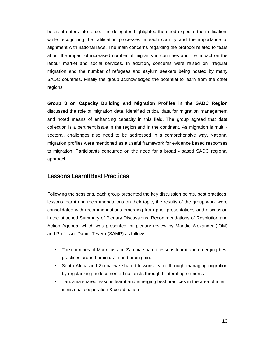before it enters into force. The delegates highlighted the need expedite the ratification, while recognizing the ratification processes in each country and the importance of alignment with national laws. The main concerns regarding the protocol related to fears about the impact of increased number of migrants in countries and the impact on the labour market and social services. In addition, concerns were raised on irregular migration and the number of refugees and asylum seekers being hosted by many SADC countries. Finally the group acknowledged the potential to learn from the other regions.

**Group 3 on Capacity Building and Migration Profiles in the SADC Region** discussed the role of migration data, identified critical data for migration management and noted means of enhancing capacity in this field. The group agreed that data collection is a pertinent issue in the region and in the continent. As migration is multi sectoral, challenges also need to be addressed in a comprehensive way. National migration profiles were mentioned as a useful framework for evidence based responses to migration. Participants concurred on the need for a broad - based SADC regional approach.

#### **Lessons Learnt/Best Practices**

Following the sessions, each group presented the key discussion points, best practices, lessons learnt and recommendations on their topic, the results of the group work were consolidated with recommendations emerging from prior presentations and discussion in the attached Summary of Plenary Discussions, Recommendations of Resolution and Action Agenda, which was presented for plenary review by Mandie Alexander (IOM) and Professor Daniel Tevera (SAMP) as follows:

- The countries of Mauritius and Zambia shared lessons learnt and emerging best practices around brain drain and brain gain.
- South Africa and Zimbabwe shared lessons learnt through managing migration by regularizing undocumented nationals through bilateral agreements
- Tanzania shared lessons learnt and emerging best practices in the area of inter ministerial cooperation & coordination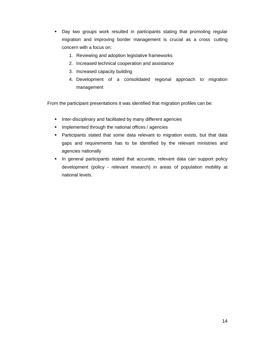- Day two groups work resulted in participants stating that promoting regular migration and improving border management is crucial as a cross cutting concern with a focus on:
	- 1. Reviewing and adoption legislative frameworks
	- 2. Increased technical cooperation and assistance
	- 3. Increased capacity building
	- 4. Development of a consolidated regional approach to migration management

From the participant presentations it was identified that migration profiles can be:

- **Inter-disciplinary and facilitated by many different agencies**
- Implemented through the national offices / agencies
- **Participants stated that some data relevant to migration exists, but that data** gaps and requirements has to be identified by the relevant ministries and agencies nationally
- **In general participants stated that accurate, relevant data can support policy** development (policy - relevant research) in areas of population mobility at national levels.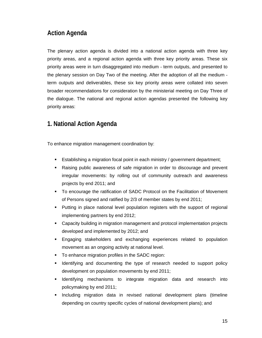### **Action Agenda**

The plenary action agenda is divided into a national action agenda with three key priority areas, and a regional action agenda with three key priority areas. These six priority areas were in turn disaggregated into medium - term outputs, and presented to the plenary session on Day Two of the meeting. After the adoption of all the medium term outputs and deliverables, these six key priority areas were collated into seven broader recommendations for consideration by the ministerial meeting on Day Three of the dialogue. The national and regional action agendas presented the following key priority areas:

### **1. National Action Agenda**

To enhance migration management coordination by:

- Establishing a migration focal point in each ministry / government department;
- Raising public awareness of safe migration in order to discourage and prevent irregular movements: by rolling out of community outreach and awareness projects by end 2011; and
- To encourage the ratification of SADC Protocol on the Facilitation of Movement of Persons signed and ratified by 2/3 of member states by end 2011;
- Putting in place national level population registers with the support of regional implementing partners by end 2012;
- Capacity building in migration management and protocol implementation projects developed and implemented by 2012; and
- Engaging stakeholders and exchanging experiences related to population movement as an ongoing activity at national level.
- To enhance migration profiles in the SADC region:
- Identifying and documenting the type of research needed to support policy development on population movements by end 2011;
- Identifying mechanisms to integrate migration data and research into policymaking by end 2011;
- **Including migration data in revised national development plans (timeline** depending on country specific cycles of national development plans); and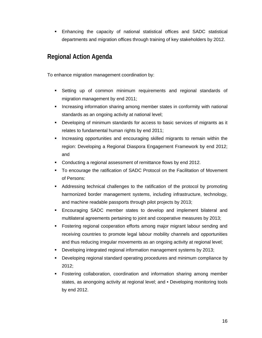Enhancing the capacity of national statistical offices and SADC statistical departments and migration offices through training of key stakeholders by 2012.

# **Regional Action Agenda**

To enhance migration management coordination by:

- Setting up of common minimum requirements and regional standards of migration management by end 2011;
- **Increasing information sharing among member states in conformity with national** standards as an ongoing activity at national level;
- Developing of minimum standards for access to basic services of migrants as it relates to fundamental human rights by end 2011;
- **Increasing opportunities and encouraging skilled migrants to remain within the** region: Developing a Regional Diaspora Engagement Framework by end 2012; and
- Conducting a regional assessment of remittance flows by end 2012.
- To encourage the ratification of SADC Protocol on the Facilitation of Movement of Persons:
- Addressing technical challenges to the ratification of the protocol by promoting harmonized border management systems, including infrastructure, technology, and machine readable passports through pilot projects by 2013;
- Encouraging SADC member states to develop and implement bilateral and multilateral agreements pertaining to joint and cooperative measures by 2013;
- Fostering regional cooperation efforts among major migrant labour sending and receiving countries to promote legal labour mobility channels and opportunities and thus reducing irregular movements as an ongoing activity at regional level;
- Developing integrated regional information management systems by 2013;
- Developing regional standard operating procedures and minimum compliance by 2012;
- Fostering collaboration, coordination and information sharing among member states, as anongoing activity at regional level; and • Developing monitoring tools by end 2012.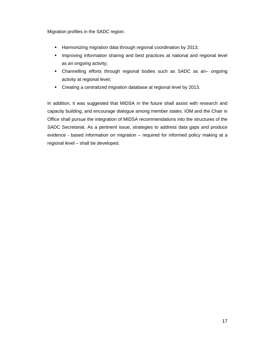Migration profiles in the SADC region:

- **Harmonizing migration data through regional coordination by 2013;**
- **IMPROVING INCOVERGENT INCOVER 1** Improving information sharing and best practices at national and regional level as an ongoing activity;
- Channelling efforts through regional bodies such as SADC as an– ongoing activity at regional level;
- Creating a centralized migration database at regional level by 2013.

In addition, it was suggested that MIDSA in the future shall assist with research and capacity building, and encourage dialogue among member states. IOM and the Chair in Office shall pursue the integration of MIDSA recommendations into the structures of the SADC Secretariat. As a pertinent issue, strategies to address data gaps and produce evidence - based information on migration – required for informed policy making at a regional level – shall be developed.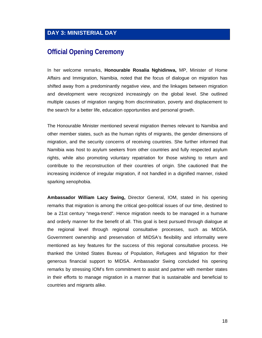### **Official Opening Ceremony**

In her welcome remarks, **Honourable Rosalia Nghidinwa,** MP, Minister of Home Affairs and Immigration, Namibia, noted that the focus of dialogue on migration has shifted away from a predominantly negative view, and the linkages between migration and development were recognized increasingly on the global level. She outlined multiple causes of migration ranging from discrimination, poverty and displacement to the search for a better life, education opportunities and personal growth.

The Honourable Minister mentioned several migration themes relevant to Namibia and other member states, such as the human rights of migrants, the gender dimensions of migration, and the security concerns of receiving countries. She further informed that Namibia was host to asylum seekers from other countries and fully respected asylum rights, while also promoting voluntary repatriation for those wishing to return and contribute to the reconstruction of their countries of origin. She cautioned that the increasing incidence of irregular migration, if not handled in a dignified manner, risked sparking xenophobia.

**Ambassador William Lacy Swing,** Director General, IOM, stated in his opening remarks that migration is among the critical geo-political issues of our time, destined to be a 21st century "mega-trend". Hence migration needs to be managed in a humane and orderly manner for the benefit of all. This goal is best pursued through dialogue at the regional level through regional consultative processes, such as MIDSA. Government ownership and preservation of MIDSA's flexibility and informality were mentioned as key features for the success of this regional consultative process. He thanked the United States Bureau of Population, Refugees and Migration for their generous financial support to MIDSA. Ambassador Swing concluded his opening remarks by stressing IOM's firm commitment to assist and partner with member states in their efforts to manage migration in a manner that is sustainable and beneficial to countries and migrants alike.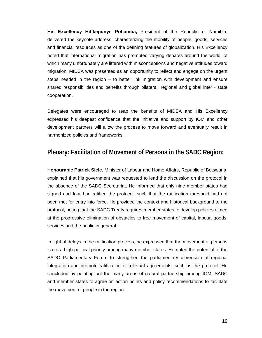**His Excellency Hifikepunye Pohamba,** President of the Republic of Namibia, delivered the keynote address, characterizing the mobility of people, goods, services and financial resources as one of the defining features of globalization. His Excellency noted that international migration has prompted varying debates around the world, of which many unfortunately are littered with misconceptions and negative attitudes toward migration. MIDSA was presented as an opportunity to reflect and engage on the urgent steps needed in the region – to better link migration with development and ensure shared responsibilities and benefits through bilateral, regional and global inter - state cooperation.

Delegates were encouraged to reap the benefits of MIDSA and His Excellency expressed his deepest confidence that the initiative and support by IOM and other development partners will allow the process to move forward and eventually result in harmonized policies and frameworks.

#### **Plenary: Facilitation of Movement of Persons in the SADC Region:**

**Honourable Patrick Siele,** Minister of Labour and Home Affairs, Republic of Botswana, explained that his government was requested to lead the discussion on the protocol in the absence of the SADC Secretariat. He informed that only nine member states had signed and four had ratified the protocol, such that the ratification threshold had not been met for entry into force. He provided the context and historical background to the protocol, noting that the SADC Treaty requires member states to develop policies aimed at the progressive elimination of obstacles to free movement of capital, labour, goods, services and the public in general.

In light of delays in the ratification process, he expressed that the movement of persons is not a high political priority among many member states. He noted the potential of the SADC Parliamentary Forum to strengthen the parliamentary dimension of regional integration and promote ratification of relevant agreements, such as the protocol. He concluded by pointing out the many areas of natural partnership among IOM, SADC and member states to agree on action points and policy recommendations to facilitate the movement of people in the region.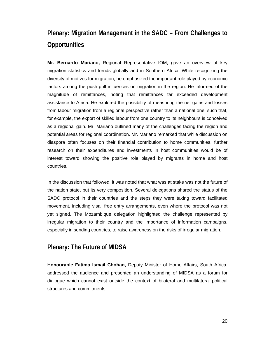# **Plenary: Migration Management in the SADC – From Challenges to Opportunities**

**Mr. Bernardo Mariano,** Regional Representative IOM, gave an overview of key migration statistics and trends globally and in Southern Africa. While recognizing the diversity of motives for migration, he emphasized the important role played by economic factors among the push-pull influences on migration in the region. He informed of the magnitude of remittances, noting that remittances far exceeded development assistance to Africa. He explored the possibility of measuring the net gains and losses from labour migration from a regional perspective rather than a national one, such that, for example, the export of skilled labour from one country to its neighbours is conceived as a regional gain. Mr. Mariano outlined many of the challenges facing the region and potential areas for regional coordination. Mr. Mariano remarked that while discussion on diaspora often focuses on their financial contribution to home communities, further research on their expenditures and investments in host communities would be of interest toward showing the positive role played by migrants in home and host countries.

In the discussion that followed, it was noted that what was at stake was not the future of the nation state, but its very composition. Several delegations shared the status of the SADC protocol in their countries and the steps they were taking toward facilitated movement, including visa free entry arrangements, even where the protocol was not yet signed. The Mozambique delegation highlighted the challenge represented by irregular migration to their country and the importance of information campaigns, especially in sending countries, to raise awareness on the risks of irregular migration.

### **Plenary: The Future of MIDSA**

**Honourable Fatima Ismail Chohan,** Deputy Minister of Home Affairs, South Africa, addressed the audience and presented an understanding of MIDSA as a forum for dialogue which cannot exist outside the context of bilateral and multilateral political structures and commitments.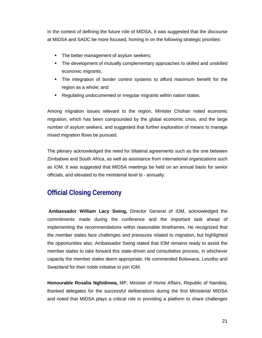In the context of defining the future role of MIDSA, it was suggested that the discourse at MIDSA and SADC be more focused, homing in on the following strategic priorities:

- The better management of asylum seekers;
- The development of mutually complementary approaches to skilled and unskilled economic migrants;
- The integration of border control systems to afford maximum benefit for the region as a whole; and
- Regulating undocumented or irregular migrants within nation states.

Among migration issues relevant to the region, Minister Chohan noted economic migration, which has been compounded by the global economic crisis, and the large number of asylum seekers, and suggested that further exploration of means to manage mixed migration flows be pursued.

The plenary acknowledged the need for bilateral agreements such as the one between Zimbabwe and South Africa, as well as assistance from international organizations such as IOM. It was suggested that MIDSA meetings be held on an annual basis for senior officials, and elevated to the ministerial level bi - annually.

# **Official Closing Ceremony**

**Ambassador William Lacy Swing,** Director General of IOM, acknowledged the commitments made during the conference and the important task ahead of implementing the recommendations within reasonable timeframes. He recognized that the member states face challenges and pressures related to migration, but highlighted the opportunities also. Ambassador Swing stated that IOM remains ready to assist the member states to take forward this state-driven and consultative process, in whichever capacity the member states deem appropriate. He commended Botswana, Lesotho and Swaziland for their noble initiative to join IOM.

**Honourable Rosalia Nghidinwa,** MP, Minister of Home Affairs, Republic of Namibia, thanked delegates for the successful deliberations during the first Ministerial MIDSA and noted that MIDSA plays a critical role in providing a platform to share challenges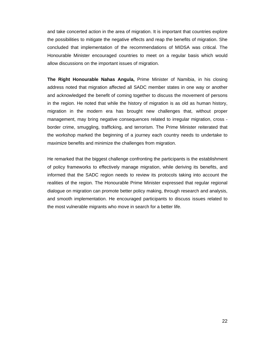and take concerted action in the area of migration. It is important that countries explore the possibilities to mitigate the negative effects and reap the benefits of migration. She concluded that implementation of the recommendations of MIDSA was critical. The Honourable Minister encouraged countries to meet on a regular basis which would allow discussions on the important issues of migration.

**The Right Honourable Nahas Angula,** Prime Minister of Namibia, in his closing address noted that migration affected all SADC member states in one way or another and acknowledged the benefit of coming together to discuss the movement of persons in the region. He noted that while the history of migration is as old as human history, migration in the modern era has brought new challenges that, without proper management, may bring negative consequences related to irregular migration, cross border crime, smuggling, trafficking, and terrorism. The Prime Minister reiterated that the workshop marked the beginning of a journey each country needs to undertake to maximize benefits and minimize the challenges from migration.

He remarked that the biggest challenge confronting the participants is the establishment of policy frameworks to effectively manage migration, while deriving its benefits, and informed that the SADC region needs to review its protocols taking into account the realities of the region. The Honourable Prime Minister expressed that regular regional dialogue on migration can promote better policy making, through research and analysis, and smooth implementation. He encouraged participants to discuss issues related to the most vulnerable migrants who move in search for a better life.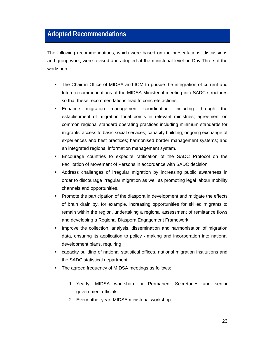# **Adopted Recommendations**

The following recommendations, which were based on the presentations, discussions and group work, were revised and adopted at the ministerial level on Day Three of the workshop.

- The Chair in Office of MIDSA and IOM to pursue the integration of current and future recommendations of the MIDSA Ministerial meeting into SADC structures so that these recommendations lead to concrete actions.
- Enhance migration management coordination, including through the establishment of migration focal points in relevant ministries; agreement on common regional standard operating practices including minimum standards for migrants' access to basic social services; capacity building; ongoing exchange of experiences and best practices; harmonised border management systems; and an integrated regional information management system.
- Encourage countries to expedite ratification of the SADC Protocol on the Facilitation of Movement of Persons in accordance with SADC decision.
- Address challenges of irregular migration by increasing public awareness in order to discourage irregular migration as well as promoting legal labour mobility channels and opportunities.
- Promote the participation of the diaspora in development and mitigate the effects of brain drain by, for example, increasing opportunities for skilled migrants to remain within the region, undertaking a regional assessment of remittance flows and developing a Regional Diaspora Engagement Framework.
- Improve the collection, analysis, dissemination and harmonisation of migration data, ensuring its application to policy - making and incorporation into national development plans, requiring
- capacity building of national statistical offices, national migration institutions and the SADC statistical department.
- The agreed frequency of MIDSA meetings as follows:
	- 1. Yearly: MIDSA workshop for Permanent Secretaries and senior government officials
	- 2. Every other year: MIDSA ministerial workshop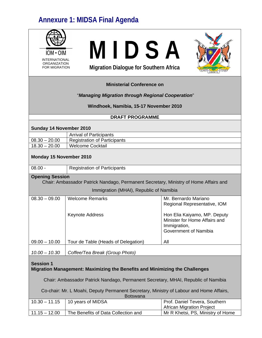# **Annexure 1: MIDSA Final Agenda**

| $ION \cdot OIM$<br><b>INTERNATIONAL</b><br><b>ORGANIZATION</b><br><b>FOR MIGRATION</b>          | MIDSA<br><b>Migration Dialogue for Southern Africa</b>                                  |                                                                                                        |  |
|-------------------------------------------------------------------------------------------------|-----------------------------------------------------------------------------------------|--------------------------------------------------------------------------------------------------------|--|
|                                                                                                 | <b>Ministerial Conference on</b>                                                        |                                                                                                        |  |
|                                                                                                 | "Managing Migration through Regional Cooperation"                                       |                                                                                                        |  |
|                                                                                                 | Windhoek, Namibia, 15-17 November 2010                                                  |                                                                                                        |  |
|                                                                                                 | <b>DRAFT PROGRAMME</b>                                                                  |                                                                                                        |  |
|                                                                                                 |                                                                                         |                                                                                                        |  |
| Sunday 14 November 2010                                                                         |                                                                                         |                                                                                                        |  |
|                                                                                                 | <b>Arrival of Participants</b>                                                          |                                                                                                        |  |
| $08.30 - 20.00$                                                                                 | <b>Registration of Participants</b>                                                     |                                                                                                        |  |
| $18.30 - 20.00$                                                                                 | <b>Welcome Cocktail</b>                                                                 |                                                                                                        |  |
| Monday 15 November 2010                                                                         |                                                                                         |                                                                                                        |  |
| $08.00 -$                                                                                       | <b>Registration of Participants</b>                                                     |                                                                                                        |  |
| <b>Opening Session</b>                                                                          | Chair: Ambassador Patrick Nandago, Permanent Secretary, Ministry of Home Affairs and    |                                                                                                        |  |
|                                                                                                 | Immigration (MHAI), Republic of Namibia                                                 |                                                                                                        |  |
| $08.30 - 09.00$                                                                                 | <b>Welcome Remarks</b>                                                                  | Mr. Bernardo Mariano<br>Regional Representative, IOM                                                   |  |
|                                                                                                 | <b>Keynote Address</b>                                                                  | Hon Elia Kaiyamo, MP. Deputy<br>Minister for Home Affairs and<br>Immigration,<br>Government of Namibia |  |
| $09.00 - 10.00$                                                                                 |                                                                                         | All                                                                                                    |  |
| $10.00 - 10.30$                                                                                 |                                                                                         |                                                                                                        |  |
| <b>Session 1</b><br>Migration Management: Maximizing the Benefits and Minimizing the Challenges |                                                                                         |                                                                                                        |  |
|                                                                                                 | Tour de Table (Heads of Delegation)<br>Coffee/Tea Break (Group Photo)                   |                                                                                                        |  |
|                                                                                                 | Chair: Ambassador Patrick Nandago, Permanent Secretary, MHAI, Republic of Namibia       |                                                                                                        |  |
|                                                                                                 | Co-chair: Mr. L Moahi, Deputy Permanent Secretary, Ministry of Labour and Home Affairs, |                                                                                                        |  |
| $10.30 - 11.15$                                                                                 | <b>Botswana</b><br>10 years of MIDSA                                                    | Prof. Daniel Tevera, Southern<br><b>African Migration Project</b>                                      |  |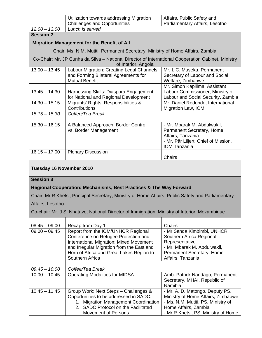|                                              | Utilization towards addressing Migration                                                                                                                                                                                                                     | Affairs, Public Safety and                                                                                                                                          |  |  |
|----------------------------------------------|--------------------------------------------------------------------------------------------------------------------------------------------------------------------------------------------------------------------------------------------------------------|---------------------------------------------------------------------------------------------------------------------------------------------------------------------|--|--|
| $12.00 - 13.00$                              | <b>Challenges and Opportunities</b><br>Parliamentary Affairs, Lesotho<br>Lunch is served                                                                                                                                                                     |                                                                                                                                                                     |  |  |
| <b>Session 2</b>                             |                                                                                                                                                                                                                                                              |                                                                                                                                                                     |  |  |
|                                              |                                                                                                                                                                                                                                                              |                                                                                                                                                                     |  |  |
|                                              | <b>Migration Management for the Benefit of All</b>                                                                                                                                                                                                           |                                                                                                                                                                     |  |  |
|                                              | Chair: Ms. N.M. Mutiti, Permanent Secretary, Ministry of Home Affairs, Zambia                                                                                                                                                                                |                                                                                                                                                                     |  |  |
|                                              | Co-Chair: Mr. JP Cunha da Silva - National Director of International Cooperation Cabinet, Ministry<br>of Interior, Angola                                                                                                                                    |                                                                                                                                                                     |  |  |
| $13.00 - 13.45$                              | Labour Migration: Creating Legal Channels<br>and Forming Bilateral Agreements for<br><b>Mutual Benefit</b>                                                                                                                                                   | Mr. L.C. Museka, Permanent<br>Secretary of Labour and Social<br>Welfare, Zimbabwe                                                                                   |  |  |
| $13.45 - 14.30$                              | Harnessing Skills: Diaspora Engagement<br>for National and Regional Development                                                                                                                                                                              | Mr. Simon Kapilima, Assistant<br>Labour Commissioner, Ministry of<br>Labour and Social Security, Zambia                                                             |  |  |
| $14.30 - 15.15$                              | Migrants' Rights, Responsibilities &<br>Contributions                                                                                                                                                                                                        | Mr. Daniel Redondo, International<br>Migration Law, IOM                                                                                                             |  |  |
| $15.15 - 15.30$                              | Coffee/Tea Break                                                                                                                                                                                                                                             |                                                                                                                                                                     |  |  |
| $15.30 - 16.15$                              | A Balanced Approach: Border Control<br>vs. Border Management                                                                                                                                                                                                 | - Mr. Mbarak M. Abdulwakil,<br>Permanent Secretary, Home<br>Affairs, Tanzania<br>- Mr. Pär Liljert, Chief of Mission,<br><b>IOM Tanzania</b>                        |  |  |
| $16.15 - 17.00$                              | <b>Plenary Discussion</b>                                                                                                                                                                                                                                    | Chairs                                                                                                                                                              |  |  |
| Tuesday 16 November 2010<br><b>Session 3</b> |                                                                                                                                                                                                                                                              |                                                                                                                                                                     |  |  |
|                                              | Regional Cooperation: Mechanisms, Best Practices & The Way Forward                                                                                                                                                                                           |                                                                                                                                                                     |  |  |
|                                              | Chair: Mr R Khetsi, Principal Secretary, Ministry of Home Affairs, Public Safety and Parliamentary                                                                                                                                                           |                                                                                                                                                                     |  |  |
|                                              |                                                                                                                                                                                                                                                              |                                                                                                                                                                     |  |  |
| Affairs, Lesotho                             |                                                                                                                                                                                                                                                              |                                                                                                                                                                     |  |  |
|                                              | Co-chair: Mr. J.S. Nhatave, National Director of Immigration, Ministry of Interior, Mozambique                                                                                                                                                               |                                                                                                                                                                     |  |  |
|                                              |                                                                                                                                                                                                                                                              |                                                                                                                                                                     |  |  |
| $08:45 - 09.00$<br>$09.00 - 09.45$           | Recap from Day 1<br>Report from the IOM/UNHCR Regional<br>Conference on Refugee Protection and<br><b>International Migration: Mixed Movement</b><br>and Irregular Migration from the East and<br>Horn of Africa and Great Lakes Region to<br>Southern Africa | Chairs<br>- Mr Sanda Kimbimbi, UNHCR<br>Southern Africa Regional<br>Representative<br>- Mr. Mbarak M. Abdulwakil,<br>Permanent Secretary, Home<br>Affairs, Tanzania |  |  |
| $09.45 - 10.00$                              | Coffee/Tea Break                                                                                                                                                                                                                                             |                                                                                                                                                                     |  |  |
| $10.00 - 10.45$                              | <b>Operating Modalities for MIDSA</b>                                                                                                                                                                                                                        | Amb. Patrick Nandago, Permanent<br>Secretary, MHAI, Republic of<br>Namibia                                                                                          |  |  |
| $10.45 - 11.45$                              | Group Work: Next Steps - Challenges &<br>Opportunities to be addressed in SADC:<br>1. Migration Management Coordination<br>2. SADC Protocol on the Facilitated                                                                                               | - Mr. A. D. Matongo, Deputy PS,<br>Ministry of Home Affairs, Zimbabwe<br>- Ms. N,M. Mutiti, PS, Ministry of<br>Home Affairs, Zambia                                 |  |  |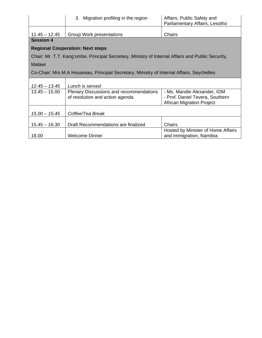|                                                                                           | 3. Migration profiling in the region                                                              | Affairs, Public Safety and<br>Parliamentary Affairs, Lesotho                                       |
|-------------------------------------------------------------------------------------------|---------------------------------------------------------------------------------------------------|----------------------------------------------------------------------------------------------------|
| $11.45 - 12.45$                                                                           | Group Work presentations                                                                          | Chairs                                                                                             |
| <b>Session 4</b>                                                                          |                                                                                                   |                                                                                                    |
|                                                                                           | <b>Regional Cooperation: Next steps</b>                                                           |                                                                                                    |
|                                                                                           | Chair: Mr. T.T. Kang'ombe, Principal Secretary, Ministry of Internal Affairs and Public Security, |                                                                                                    |
| <b>Malawi</b>                                                                             |                                                                                                   |                                                                                                    |
| Co-Chair: Mrs M.A Houareau, Principal Secretary, Ministry of Internal Affairs, Seychelles |                                                                                                   |                                                                                                    |
|                                                                                           |                                                                                                   |                                                                                                    |
| $12.45 - 13.45$                                                                           | Lunch is served                                                                                   |                                                                                                    |
| $13.45 - 15.00$                                                                           | <b>Plenary Discussions and recommendations</b><br>of resolution and action agenda                 | - Ms. Mandie Alexander, IOM<br>- Prof. Daniel Tevera, Southern<br><b>African Migration Project</b> |
| $15.00 - 15.45$<br>Coffee/Tea Break                                                       |                                                                                                   |                                                                                                    |
|                                                                                           |                                                                                                   |                                                                                                    |
| $15.45 - 16.30$                                                                           | Draft Recommendations are finalized                                                               | Chairs                                                                                             |
| 18.00                                                                                     | <b>Welcome Dinner</b>                                                                             | Hosted by Minister of Home Affairs<br>and Immigration, Namibia                                     |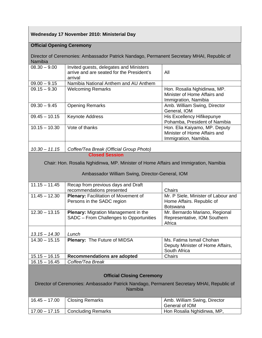#### **Wednesday 17 November 2010: Ministerial Day**

#### **Official Opening Ceremony**

Director of Ceremonies: Ambassador Patrick Nandago, Permanent Secretary MHAI, Republic of Namibia

| $08.30 - 9.00$  | Invited guests, delegates and Ministers<br>arrive and are seated for the President's<br>arrival | All                                                                                    |
|-----------------|-------------------------------------------------------------------------------------------------|----------------------------------------------------------------------------------------|
| $09.00 - 9.15$  | Namibia National Anthem and AU Anthem                                                           |                                                                                        |
| $09.15 - 9.30$  | <b>Welcoming Remarks</b>                                                                        | Hon. Rosalia Nghidinwa, MP.<br>Minister of Home Affairs and<br>Immigration, Namibia    |
| $09.30 - 9.45$  | <b>Opening Remarks</b>                                                                          | Amb. William Swing, Director<br>General, IOM                                           |
| $09.45 - 10.15$ | <b>Keynote Address</b>                                                                          | His Excellency Hifikepunye<br>Pohamba, President of Namibia                            |
| $10.15 - 10.30$ | Vote of thanks                                                                                  | Hon. Elia Kaiyamo, MP. Deputy<br>Minister of Home Affairs and<br>Immigration, Namibia. |
|                 |                                                                                                 |                                                                                        |

*10.30 – 11.15 Coffee/Tea Break (Official Group Photo)*  **Closed Session** 

Chair: Hon. Rosalia Nghidinwa, MP. Minister of Home Affairs and Immigration, Namibia

#### Ambassador William Swing, Director-General, IOM

| $11.15 - 11.45$ | Recap from previous days and Draft          |                                     |
|-----------------|---------------------------------------------|-------------------------------------|
|                 | recommendations presented                   | Chairs                              |
| $11.45 - 12.30$ | Plenary: Facilitation of Movement of        | Mr. P Siele, Minister of Labour and |
|                 | Persons in the SADC region                  | Home Affairs. Republic of           |
|                 |                                             | <b>Botswana</b>                     |
| $12.30 - 13.15$ | <b>Plenary:</b> Migration Management in the | Mr. Bernardo Mariano, Regional      |
|                 | SADC - From Challenges to Opportunities     | Representative, IOM Southern        |
|                 |                                             | Africa                              |
|                 |                                             |                                     |
| $13.15 - 14.30$ | Lunch                                       |                                     |
| $14.30 - 15.15$ | <b>Plenary: The Future of MIDSA</b>         | Ms. Fatima Ismail Chohan            |
|                 |                                             | Deputy Minister of Home Affairs,    |
|                 |                                             | South Africa                        |
| $15.15 - 16.15$ | <b>Recommendations are adopted</b>          | Chairs                              |
| $16.15 - 16.45$ | Coffee/Tea Break                            |                                     |
|                 |                                             |                                     |

#### **Official Closing Ceremony**

Director of Ceremonies: Ambassador Patrick Nandago, Permanent Secretary MHAI, Republic of Namibia

| $16.45 - 17.00$ | <b>Closing Remarks</b>          | Amb. William Swing, Director<br>General of IOM |
|-----------------|---------------------------------|------------------------------------------------|
| $17.00 - 17.15$ | <sup>1</sup> Concluding Remarks | Hon Rosalia Nghidinwa, MP,                     |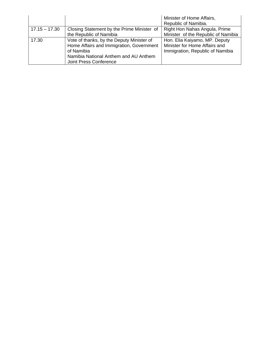|                 |                                            | Minister of Home Affairs,           |
|-----------------|--------------------------------------------|-------------------------------------|
|                 |                                            | Republic of Namibia.                |
| $17.15 - 17.30$ | Closing Statement by the Prime Minister of | Right Hon Nahas Angula, Prime       |
|                 | the Republic of Namibia                    | Minister of the Republic of Namibia |
| 17.30           | Vote of thanks, by the Deputy Minister of  | Hon. Elia Kaiyamo, MP. Deputy       |
|                 | Home Affairs and Immigration, Government   | Minister for Home Affairs and       |
|                 | of Namibia                                 | Immigration, Republic of Namibia    |
|                 | Namibia National Anthem and AU Anthem      |                                     |
|                 | Joint Press Conference                     |                                     |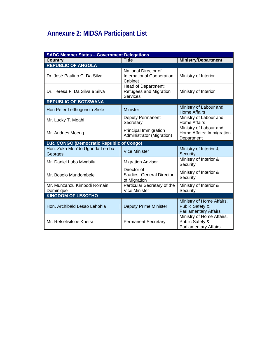# **Annexure 2: MIDSA Participant List**

| <b>SADC Member States - Government Delegations</b> |                                                                     |                                                                                         |  |
|----------------------------------------------------|---------------------------------------------------------------------|-----------------------------------------------------------------------------------------|--|
| <b>Country</b>                                     | <b>Title</b>                                                        | <b>Ministry/Department</b>                                                              |  |
| <b>REPUBLIC OF ANGOLA</b>                          |                                                                     |                                                                                         |  |
| Dr. José Paulino C. Da Silva                       | National Director of<br><b>International Cooperation</b><br>Cabinet | Ministry of Interior                                                                    |  |
| Dr. Teresa F. Da Silva e Silva                     | Head of Department:<br>Refugees and Migration<br><b>Services</b>    | Ministry of Interior                                                                    |  |
| <b>REPUBLIC OF BOTSWANA</b>                        |                                                                     |                                                                                         |  |
| Hon Peter Letlhogonolo Siele                       | <b>Minister</b>                                                     | Ministry of Labour and<br><b>Home Affairs</b>                                           |  |
| Mr. Lucky T. Moahi                                 | Deputy Permanent<br>Secretary                                       | Ministry of Labour and<br><b>Home Affairs</b>                                           |  |
| Mr. Andries Moeng                                  | Principal Immigration<br>Administrator (Migration)                  | Ministry of Labour and<br>Home Affairs: Immigration<br>Department                       |  |
| D.R. CONGO (Democratic Republic of Congo)          |                                                                     |                                                                                         |  |
| Hon. Zuka Mon'do Ugonda-Lemba<br>Georges           | <b>Vice Minister</b>                                                | Ministry of Interior &<br>Security                                                      |  |
| Mr. Daniel Lubo Mwabilu                            | <b>Migration Adviser</b>                                            | Ministry of Interior &<br>Security                                                      |  |
| Mr. Bosolo Mundombele                              | Director of<br><b>Studies - General Director</b><br>of Migration    | Ministry of Interior &<br>Security                                                      |  |
| Mr. Munzanzu Kimbodi Romain<br>Dominique           | Particular Secretary of the<br><b>Vice Minister</b>                 | Ministry of Interior &<br>Security                                                      |  |
| <b>KINGDOM OF LESOTHO</b>                          |                                                                     |                                                                                         |  |
| Hon. Archibald Lesao Lehohla                       | <b>Deputy Prime Minister</b>                                        | Ministry of Home Affairs,<br><b>Public Safety &amp;</b><br><b>Parliamentary Affairs</b> |  |
| Mr. Retselisitsoe Khetsi                           | <b>Permanent Secretary</b>                                          | Ministry of Home Affairs,<br>Public Safety &<br><b>Parliamentary Affairs</b>            |  |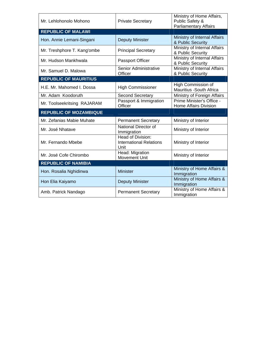| Mr. Lehlohonolo Mohono        | <b>Private Secretary</b>                                           | Ministry of Home Affairs,<br>Public Safety &<br><b>Parliamentary Affairs</b> |
|-------------------------------|--------------------------------------------------------------------|------------------------------------------------------------------------------|
| <b>REPUBLIC OF MALAWI</b>     |                                                                    |                                                                              |
| Hon. Annie Lemani-Singani     | <b>Deputy Minister</b>                                             | Ministry of Internal Affairs<br>& Public Security                            |
| Mr. Treshphore T. Kang'ombe   | <b>Principal Secretary</b>                                         | Ministry of Internal Affairs<br>& Public Security                            |
| Mr. Hudson Mankhwala          | Passport Officer                                                   | Ministry of Internal Affairs<br>& Public Security                            |
| Mr. Samuel D. Malowa          | Senior Administrative<br>Officer                                   | Ministry of Internal Affairs<br>& Public Security                            |
| <b>REPUBLIC OF MAURITIUS</b>  |                                                                    |                                                                              |
| H.E. Mr. Mahomed I. Dossa     | <b>High Commissioner</b>                                           | High Commission of<br>Mauritius -South Africa                                |
| Mr. Adam Koodoruth            | <b>Second Secretary</b>                                            | Ministry of Foreign Affairs                                                  |
| Mr. Toolseekritsing RAJARAM   | Passport & Immigration<br>Officer                                  | Prime Minister's Office -<br><b>Home Affairs Division</b>                    |
| <b>REPUBLIC OF MOZAMBIQUE</b> |                                                                    |                                                                              |
| Mr. Zefanias Mabie Muhate     | <b>Permanent Secretary</b>                                         | Ministry of Interior                                                         |
| Mr. José Nhatave              | National Director of<br>Immigration                                | Ministry of Interior                                                         |
| Mr. Fernando Mbebe            | <b>Head of Division:</b><br><b>International Relations</b><br>Unit | Ministry of Interior                                                         |
| Mr. José Cofe Chirombo        | Head: Migration<br><b>Movement Unit</b>                            | Ministry of Interior                                                         |
| <b>REPUBLIC OF NAMIBIA</b>    |                                                                    |                                                                              |
| Hon. Rosalia Nghidinwa        | <b>Minister</b>                                                    | Ministry of Home Affairs &<br>Immigration                                    |
| Hon Elia Kaiyamo              | <b>Deputy Minister</b>                                             | Ministry of Home Affairs &<br>Immigration                                    |
| Amb. Patrick Nandago          | <b>Permanent Secretary</b>                                         | Ministry of Home Affairs &<br>Immigration                                    |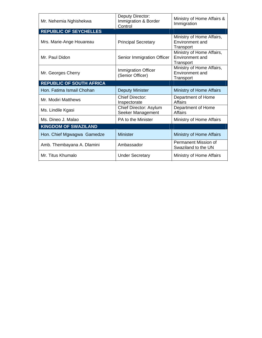| Mr. Nehemia Nghishekwa          | Deputy Director:<br>Immigration & Border<br>Control | Ministry of Home Affairs &<br>Immigration                 |
|---------------------------------|-----------------------------------------------------|-----------------------------------------------------------|
| <b>REPUBLIC OF SEYCHELLES</b>   |                                                     |                                                           |
| Mrs. Marie-Ange Houareau        | <b>Principal Secretary</b>                          | Ministry of Home Affairs,<br>Environment and<br>Transport |
| Mr. Paul Didon                  | Senior Immigration Officer                          | Ministry of Home Affairs,<br>Environment and<br>Transport |
| Mr. Georges Cherry              | <b>Immigration Officer</b><br>(Senior Officer)      | Ministry of Home Affairs,<br>Environment and<br>Transport |
| <b>REPUBLIC OF SOUTH AFRICA</b> |                                                     |                                                           |
| Hon. Fatima Ismail Chohan       | <b>Deputy Minister</b>                              | Ministry of Home Affairs                                  |
| Mr. Modiri Matthews             | <b>Chief Director:</b><br>Inspectorate              | Department of Home<br>Affairs                             |
| Ms. Lindile Kgasi               | Chief Director: Asylum<br>Seeker Management         | Department of Home<br><b>Affairs</b>                      |
| Ms. Dineo J. Malao              | PA to the Minister                                  | Ministry of Home Affairs                                  |
| <b>KINGDOM OF SWAZILAND</b>     |                                                     |                                                           |
| Hon. Chief Mgwagwa Gamedze      | <b>Minister</b>                                     | Ministry of Home Affairs                                  |
| Amb. Thembayana A. Dlamini      | Ambassador                                          | Permanent Mission of<br>Swaziland to the UN               |
| Mr. Titus Khumalo               | <b>Under Secretary</b>                              | Ministry of Home Affairs                                  |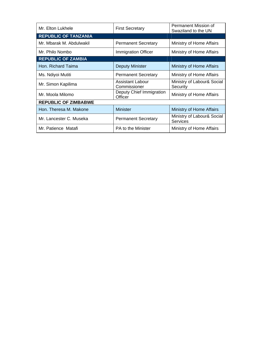| Mr. Elton Lukhele           | <b>First Secretary</b>              | Permanent Mission of<br>Swaziland to the UN   |
|-----------------------------|-------------------------------------|-----------------------------------------------|
| <b>REPUBLIC OF TANZANIA</b> |                                     |                                               |
| Mr. Mbarak M. Abdulwakil    | <b>Permanent Secretary</b>          | Ministry of Home Affairs                      |
| Mr. Philo Nombo             | <b>Immigration Officer</b>          | Ministry of Home Affairs                      |
| <b>REPUBLIC OF ZAMBIA</b>   |                                     |                                               |
| Hon. Richard Taima          | <b>Deputy Minister</b>              | Ministry of Home Affairs                      |
| Ms. Ndiyoi Mutiti           | <b>Permanent Secretary</b>          | Ministry of Home Affairs                      |
| Mr. Simon Kapilima          | Assistant Labour<br>Commissioner    | Ministry of Labour& Social<br>Security        |
| Mr. Moola Milomo            | Deputy Chief Immigration<br>Officer | Ministry of Home Affairs                      |
| <b>REPUBLIC OF ZIMBABWE</b> |                                     |                                               |
| Hon. Theresa M. Makone      | <b>Minister</b>                     | Ministry of Home Affairs                      |
| Mr. Lancester C. Museka     | <b>Permanent Secretary</b>          | Ministry of Labour& Social<br><b>Services</b> |
| Mr. Patience Matafi         | PA to the Minister                  | Ministry of Home Affairs                      |